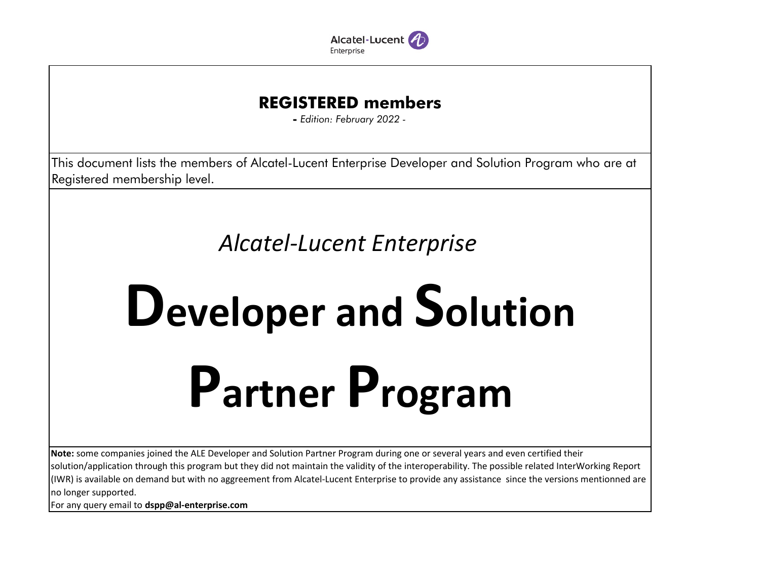

## **REGISTERED members**

**-** *Edition: February 2022 -*

This document lists the members of Alcatel-Lucent Enterprise Developer and Solution Program who are at Registered membership level.

## *Alcatel-Lucent Enterprise*

## **Developer and SolutionPartner Program**

**Note:** some companies joined the ALE Developer and Solution Partner Program during one or several years and even certified their solution/application through this program but they did not maintain the validity of the interoperability. The possible related InterWorking Report (IWR) is available on demand but with no aggreement from Alcatel-Lucent Enterprise to provide any assistance since the versions mentionned are no longer supported.

For any query email to **dspp@al-enterprise.com**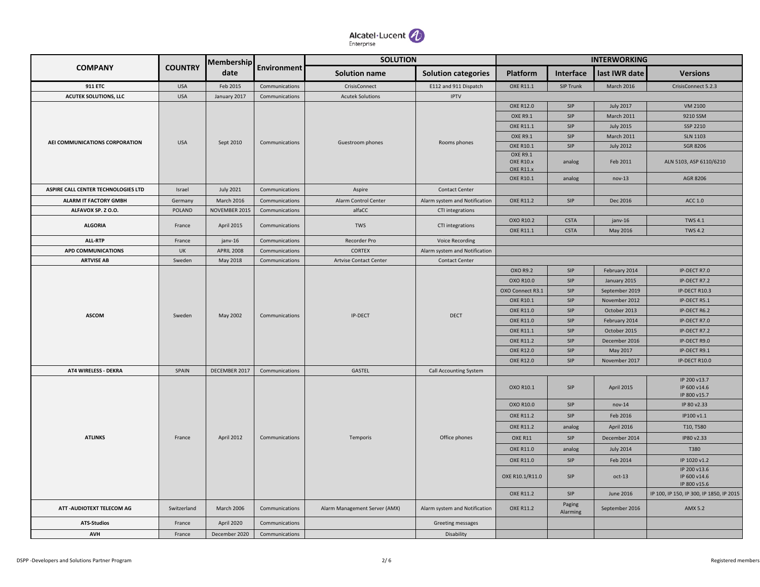

|                                     |                | <b>Membership</b> |                    | <b>SOLUTION</b>               |                               |                              |                    | <b>INTERWORKING</b> |                                          |  |
|-------------------------------------|----------------|-------------------|--------------------|-------------------------------|-------------------------------|------------------------------|--------------------|---------------------|------------------------------------------|--|
| <b>COMPANY</b>                      | <b>COUNTRY</b> | date              | <b>Environment</b> | <b>Solution name</b>          | <b>Solution categories</b>    | <b>Platform</b>              | Interface          | last IWR date       | <b>Versions</b>                          |  |
| <b>911 ETC</b>                      | <b>USA</b>     | Feb 2015          | Communications     | CrisisConnect                 | E112 and 911 Dispatch         | OXE R11.1                    | SIP Trunk          | March 2016          | CrisisConnect 5.2.3                      |  |
| <b>ACUTEK SOLUTIONS, LLC</b>        | <b>USA</b>     | January 2017      | Communications     | <b>Acutek Solutions</b>       | <b>IPTV</b>                   |                              |                    |                     |                                          |  |
|                                     |                |                   |                    |                               |                               | <b>OXE R12.0</b>             | SIP                | <b>July 2017</b>    | VM 2100                                  |  |
|                                     |                |                   |                    |                               |                               | <b>OXE R9.1</b>              | SIP                | <b>March 2011</b>   | 9210 SSM                                 |  |
|                                     |                |                   |                    |                               |                               | OXE R11.1                    | SIP                | <b>July 2015</b>    | SSP 2210                                 |  |
| AEI COMMUNICATIONS CORPORATION      | <b>USA</b>     | Sept 2010         | Communications     | Guestroom phones              | Rooms phones                  | <b>OXE R9.1</b>              | SIP                | March 2011          | <b>SLN 1103</b>                          |  |
|                                     |                |                   |                    |                               |                               | OXE R10.1<br><b>OXE R9.1</b> | SIP                | <b>July 2012</b>    | <b>SGR 8206</b>                          |  |
|                                     |                |                   |                    |                               | OXE R10.x                     |                              | analog             | Feb 2011            | ALN 5103, ASP 6110/6210                  |  |
|                                     |                |                   |                    |                               |                               | OXE R11.x                    |                    |                     |                                          |  |
|                                     |                |                   |                    |                               |                               | OXE R10.1                    | analog             | $nov-13$            | AGR 8206                                 |  |
| ASPIRE CALL CENTER TECHNOLOGIES LTD | Israel         | <b>July 2021</b>  | Communications     | Aspire                        | <b>Contact Center</b>         |                              |                    |                     |                                          |  |
| <b>ALARM IT FACTORY GMBH</b>        | Germany        | March 2016        | Communications     | Alarm Control Center          | Alarm system and Notification | OXE R11.2                    | SIP                | Dec 2016            | ACC 1.0                                  |  |
| ALFAVOX SP. Z O.O.                  | <b>POLAND</b>  | NOVEMBER 2015     | Communications     | alfaCC                        | CTI integrations              |                              |                    |                     |                                          |  |
| <b>ALGORIA</b>                      | France         | April 2015        | Communications     | <b>TWS</b>                    | CTI integrations              | OXO R10.2                    | <b>CSTA</b>        | janv-16             | <b>TWS 4.1</b>                           |  |
|                                     |                |                   |                    |                               |                               | OXE R11.1                    | <b>CSTA</b>        | May 2016            | <b>TWS 4.2</b>                           |  |
| ALL-RTP                             | France         | janv-16           | Communications     | Recorder Pro                  | <b>Voice Recording</b>        |                              |                    |                     |                                          |  |
| <b>APD COMMUNICATIONS</b>           | UK             | <b>APRIL 2008</b> | Communications     | <b>CORTEX</b>                 | Alarm system and Notification |                              |                    |                     |                                          |  |
| <b>ARTVISE AB</b>                   | Sweden         | May 2018          | Communications     | Artvise Contact Center        | <b>Contact Center</b>         |                              |                    |                     |                                          |  |
|                                     |                |                   |                    |                               |                               | OXO R9.2                     | SIP                | February 2014       | IP-DECT R7.0                             |  |
|                                     |                |                   |                    |                               |                               | OXO R10.0                    | SIP                | January 2015        | IP-DECT R7.2                             |  |
|                                     |                |                   |                    |                               |                               | OXO Connect R3.1             | SIP                | September 2019      | IP-DECT R10.3                            |  |
|                                     |                |                   |                    |                               |                               | OXE R10.1                    | SIP                | November 2012       | IP-DECT R5.1                             |  |
| <b>ASCOM</b>                        | Sweden         | May 2002          | Communications     | IP-DECT                       | <b>DECT</b>                   | <b>OXE R11.0</b>             | SIP                | October 2013        | IP-DECT R6.2                             |  |
|                                     |                |                   |                    |                               |                               | <b>OXE R11.0</b>             | SIP                | February 2014       | IP-DECT R7.0                             |  |
|                                     |                |                   |                    |                               |                               | OXE R11.1                    | SIP                | October 2015        | IP-DECT R7.2                             |  |
|                                     |                |                   |                    |                               |                               | <b>OXE R11.2</b>             | SIP                | December 2016       | IP-DECT R9.0                             |  |
|                                     |                |                   |                    |                               |                               | <b>OXE R12.0</b>             | SIP                | May 2017            | IP-DECT R9.1                             |  |
|                                     |                |                   |                    |                               |                               | <b>OXE R12.0</b>             | SIP                | November 2017       | IP-DECT R10.0                            |  |
| AT4 WIRELESS - DEKRA                | SPAIN          | DECEMBER 2017     | Communications     | GASTEL                        | Call Accounting System        |                              |                    |                     | IP 200 v13.7                             |  |
|                                     |                |                   |                    |                               |                               | OXO R10.1                    | SIP                | April 2015          | IP 600 v14.6<br>IP 800 v15.7             |  |
|                                     |                |                   |                    |                               |                               | OXO R10.0                    | SIP                | $nov-14$            | IP 80 v2.33                              |  |
|                                     |                |                   |                    |                               |                               | <b>OXE R11.2</b>             | SIP                | Feb 2016            | IP100 v1.1                               |  |
|                                     |                |                   |                    |                               |                               | <b>OXE R11.2</b>             | analog             | April 2016          | T10, T580                                |  |
| <b>ATLINKS</b>                      | France         | <b>April 2012</b> | Communications     | Temporis                      | Office phones                 | OXE R11                      | SIP                | December 2014       | IP80 v2.33                               |  |
|                                     |                |                   |                    |                               |                               | <b>OXE R11.0</b>             | analog             | <b>July 2014</b>    | T380                                     |  |
|                                     |                |                   |                    |                               |                               | OXE R11.0                    | SIP                | Feb 2014            | IP 1020 v1.2                             |  |
|                                     |                |                   |                    |                               |                               | OXE R10.1/R11.0              | SIP                | $oct-13$            | IP 200 v13.6<br>IP 600 v14.6             |  |
|                                     |                |                   |                    |                               |                               |                              |                    |                     | IP 800 v15.6                             |  |
|                                     |                |                   |                    |                               |                               | OXE R11.2                    | SIP                | June 2016           | IP 100, IP 150, IP 300, IP 1850, IP 2015 |  |
| ATT - AUDIOTEXT TELECOM AG          | Switzerland    | March 2006        | Communications     | Alarm Management Server (AMX) | Alarm system and Notification | OXE R11.2                    | Paging<br>Alarming | September 2016      | AMX 5.2                                  |  |
| <b>ATS-Studios</b>                  | France         | April 2020        | Communications     |                               | Greeting messages             |                              |                    |                     |                                          |  |
| AVH                                 | France         | December 2020     | Communications     |                               | Disability                    |                              |                    |                     |                                          |  |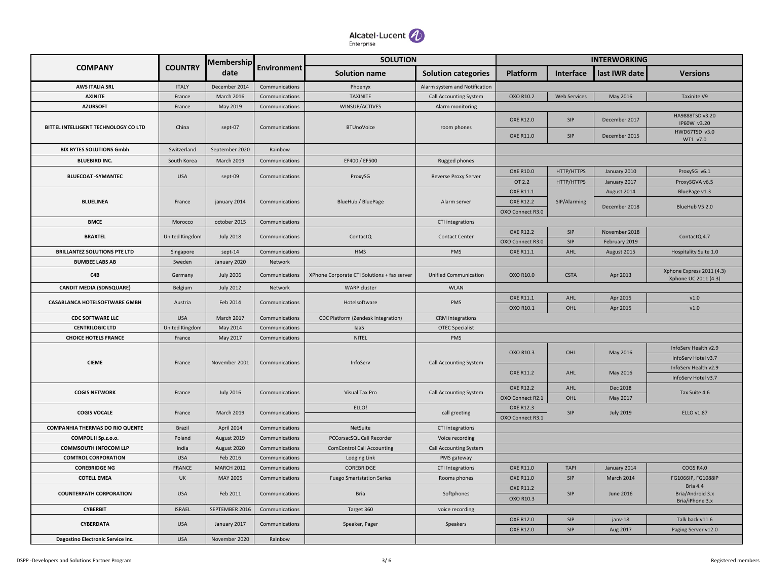

|                                        |                       | Membership        |                    | <b>SOLUTION</b>                             |                               |                                      |                     | <b>INTERWORKING</b>  |                                                   |  |
|----------------------------------------|-----------------------|-------------------|--------------------|---------------------------------------------|-------------------------------|--------------------------------------|---------------------|----------------------|---------------------------------------------------|--|
| <b>COMPANY</b>                         | <b>COUNTRY</b>        | date              | <b>Environment</b> | <b>Solution name</b>                        | <b>Solution categories</b>    | <b>Platform</b>                      | <b>Interface</b>    | last IWR date        | <b>Versions</b>                                   |  |
| <b>AWS ITALIA SRL</b>                  | <b>ITALY</b>          | December 2014     | Communications     | Phoenyx                                     | Alarm system and Notification |                                      |                     |                      |                                                   |  |
| <b>AXINITE</b>                         | France                | March 2016        | Communications     | <b>TAXINITE</b>                             | <b>Call Accounting System</b> | OXO R10.2                            | <b>Web Services</b> | May 2016             | Taxinite V9                                       |  |
| <b>AZURSOFT</b>                        | France                | May 2019          | Communications     | WINSUP/ACTIVES                              | Alarm monitoring              |                                      |                     |                      |                                                   |  |
| BITTEL INTELLIGENT TECHNOLOGY CO LTD   | China                 | sept-07           | Communications     | <b>BTUnoVoice</b>                           | room phones                   | <b>OXE R12.0</b>                     | <b>SIP</b>          | December 2017        | HA9888TSD v3.20<br>IP60W v3.20<br>HWD67TSD v3.0   |  |
|                                        |                       |                   |                    |                                             |                               | <b>OXE R11.0</b>                     | SIP                 | December 2015        | WT1 v7.0                                          |  |
| <b>BIX BYTES SOLUTIONS Gmbh</b>        | Switzerland           | September 2020    | Rainbow            |                                             |                               |                                      |                     |                      |                                                   |  |
| <b>BLUEBIRD INC.</b>                   | South Korea           | March 2019        | Communications     | EF400 / EF500                               | Rugged phones                 |                                      |                     |                      |                                                   |  |
|                                        | <b>USA</b>            | sept-09           | Communications     | ProxySG                                     | <b>Reverse Proxy Server</b>   | <b>OXE R10.0</b>                     | HTTP/HTTPS          | January 2010         | ProxySG v6.1                                      |  |
| <b>BLUECOAT -SYMANTEC</b>              |                       |                   |                    |                                             |                               | OT 2.2                               | HTTP/HTTPS          | January 2017         | ProxySGVA v6.5                                    |  |
|                                        |                       |                   |                    |                                             |                               | <b>OXE R11.1</b>                     |                     | August 2014          | BluePage v1.3                                     |  |
| <b>BLUELINEA</b>                       | France                | january 2014      | Communications     | BlueHub / BluePage                          | Alarm server                  | <b>OXE R12.2</b>                     | SIP/Alarming        | December 2018        |                                                   |  |
|                                        |                       |                   |                    |                                             |                               | OXO Connect R3.0                     |                     |                      | BlueHub V5 2.0                                    |  |
| <b>BMCE</b>                            | Morocco               | october 2015      | Communications     |                                             | CTI integrations              |                                      |                     |                      |                                                   |  |
|                                        |                       |                   |                    |                                             |                               | <b>OXE R12.2</b>                     | <b>SIP</b>          | November 2018        |                                                   |  |
| <b>BRAXTEL</b>                         | <b>United Kingdom</b> | <b>July 2018</b>  | Communications     | ContactQ                                    | <b>Contact Center</b>         | OXO Connect R3.0                     | SIP                 | February 2019        | ContactQ 4.7                                      |  |
| <b>BRILLANTEZ SOLUTIONS PTE LTD</b>    | Singapore             | sept-14           | Communications     | <b>HMS</b>                                  | PMS                           | <b>OXE R11.1</b>                     | AHL                 | August 2015          | Hospitality Suite 1.0                             |  |
| <b>BUMBEE LABS AB</b>                  | Sweden                | January 2020      | Network            |                                             |                               |                                      |                     |                      |                                                   |  |
| C4B                                    | Germany               | <b>July 2006</b>  | Communications     | XPhone Corporate CTI Solutions + fax server | <b>Unified Communication</b>  | OXO R10.0                            | <b>CSTA</b>         | Apr 2013             | Xphone Express 2011 (4.3)<br>Xphone UC 2011 (4.3) |  |
| <b>CANDIT MEDIA (SDNSQUARE)</b>        | Belgium               | <b>July 2012</b>  | Network            | <b>WARP</b> cluster                         | <b>WLAN</b>                   |                                      |                     |                      |                                                   |  |
| <b>CASABLANCA HOTELSOFTWARE GMBH</b>   | Austria               | Feb 2014          | Communications     | Hotelsoftware                               | PMS                           | <b>OXE R11.1</b><br>OXO R10.1        | AHL<br>OHL          | Apr 2015<br>Apr 2015 | v1.0<br>v1.0                                      |  |
| <b>CDC SOFTWARE LLC</b>                | <b>USA</b>            | March 2017        | Communications     |                                             | <b>CRM</b> integrations       |                                      |                     |                      |                                                   |  |
| <b>CENTRILOGIC LTD</b>                 |                       |                   |                    | CDC Platform (Zendesk Integration)          |                               |                                      |                     |                      |                                                   |  |
|                                        | United Kingdom        | May 2014          | Communications     | laaS                                        | <b>OTEC Specialist</b>        |                                      |                     |                      |                                                   |  |
| <b>CHOICE HOTELS FRANCE</b>            | France                | May 2017          | Communications     | NITEL                                       | PMS                           |                                      |                     |                      |                                                   |  |
|                                        |                       |                   |                    |                                             |                               | OXO R10.3                            | OHL                 | May 2016             | InfoServ Health v2.9                              |  |
| <b>CIEME</b>                           | France                | November 2001     | Communications     | InfoServ                                    | <b>Call Accounting System</b> |                                      |                     |                      | InfoServ Hotel v3.7                               |  |
|                                        |                       |                   |                    |                                             |                               | <b>OXE R11.2</b>                     | AHL                 | May 2016             | InfoServ Health v2.9                              |  |
|                                        |                       |                   |                    |                                             |                               |                                      |                     |                      | InfoServ Hotel v3.7                               |  |
| <b>COGIS NETWORK</b>                   | France                | <b>July 2016</b>  | Communications     | Visual Tax Pro                              | <b>Call Accounting System</b> | <b>OXE R12.2</b>                     | AHL                 | Dec 2018             | Tax Suite 4.6                                     |  |
|                                        |                       |                   |                    | ELLO!                                       |                               | OXO Connect R2.1<br><b>OXE R12.3</b> | OHL                 | May 2017             |                                                   |  |
| <b>COGIS VOCALE</b>                    | France                | <b>March 2019</b> | Communications     |                                             | call greeting                 | OXO Connect R3.1                     | SIP                 | <b>July 2019</b>     | ELLO v1.87                                        |  |
| <b>COMPANHIA THERMAS DO RIO QUENTE</b> | Brazil                | April 2014        | Communications     | NetSuite                                    | CTI integrations              |                                      |                     |                      |                                                   |  |
| COMPOL II Sp.z.o.o.                    | Poland                | August 2019       | Communications     | PCCorsacSQL Call Recorder                   | Voice recording               |                                      |                     |                      |                                                   |  |
| <b>COMMSOUTH INFOCOM LLP</b>           | India                 | August 2020       | Communications     | <b>ComControl Call Accounting</b>           | <b>Call Accounting System</b> |                                      |                     |                      |                                                   |  |
| <b>COMTROL CORPORATION</b>             | <b>USA</b>            | Feb 2016          | Communications     | Lodging Link                                | PMS gateway                   |                                      |                     |                      |                                                   |  |
| <b>COREBRIDGE NG</b>                   | <b>FRANCE</b>         | <b>MARCH 2012</b> | Communications     | COREBRIDGE                                  | <b>CTI Integrations</b>       | <b>OXE R11.0</b>                     | <b>TAPI</b>         | January 2014         | <b>COGS R4.0</b>                                  |  |
| <b>COTELL EMEA</b>                     | UK                    | MAY 2005          | Communications     | <b>Fuego Smartstation Series</b>            | Rooms phones                  | <b>OXE R11.0</b>                     | SIP                 | <b>March 2014</b>    | FG1066IP, FG1088IP                                |  |
| <b>COUNTERPATH CORPORATION</b>         | <b>USA</b>            | Feb 2011          | Communications     | Bria                                        | Softphones                    | <b>OXE R11.2</b><br>OXO R10.3        | <b>SIP</b>          | June 2016            | Bria 4.4<br>Bria/Android 3.x<br>Bria/iPhone 3.x   |  |
| <b>CYBERBIT</b>                        | <b>ISRAEL</b>         | SEPTEMBER 2016    | Communications     | Target 360                                  | voice recording               |                                      |                     |                      |                                                   |  |
|                                        |                       |                   |                    |                                             |                               | <b>OXE R12.0</b>                     | SIP                 | janv-18              | Talk back v11.6                                   |  |
| CYBERDATA                              | <b>USA</b>            | January 2017      | Communications     | Speaker, Pager                              | Speakers                      | <b>OXE R12.0</b>                     | <b>SIP</b>          | Aug 2017             | Paging Server v12.0                               |  |
| Dagostino Electronic Service Inc.      | <b>USA</b>            | November 2020     | Rainbow            |                                             |                               |                                      |                     |                      |                                                   |  |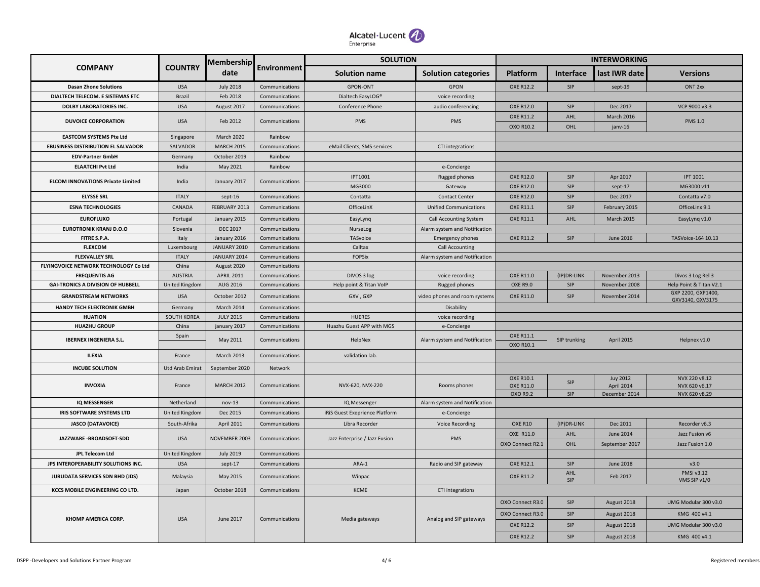

|                                           |                        | Membership        |                | <b>SOLUTION</b>                |                               |                               |                  | <b>INTERWORKING</b>           |                                        |  |
|-------------------------------------------|------------------------|-------------------|----------------|--------------------------------|-------------------------------|-------------------------------|------------------|-------------------------------|----------------------------------------|--|
| <b>COMPANY</b>                            | <b>COUNTRY</b>         | date              | Environment    | <b>Solution name</b>           | <b>Solution categories</b>    | <b>Platform</b>               | <b>Interface</b> | last IWR date                 | <b>Versions</b>                        |  |
| <b>Dasan Zhone Solutions</b>              | <b>USA</b>             | <b>July 2018</b>  | Communications | <b>GPON-ONT</b>                | <b>GPON</b>                   | <b>OXE R12.2</b>              | <b>SIP</b>       | sept-19                       | ONT <sub>2xx</sub>                     |  |
| DIALTECH TELECOM. E SISTEMAS ETC          | <b>Brazil</b>          | Feb 2018          | Communications | Dialtech EasyLOG®              | voice recording               |                               |                  |                               |                                        |  |
| <b>DOLBY LABORATORIES INC.</b>            | <b>USA</b>             | August 2017       | Communications | <b>Conference Phone</b>        | audio conferencing            | <b>OXE R12.0</b>              | SIP              | Dec 2017                      | VCP 9000 v3.3                          |  |
| <b>DUVOICE CORPORATION</b>                | <b>USA</b>             | Feb 2012          | Communications | PMS                            | <b>PMS</b>                    | <b>OXE R11.2</b><br>OXO R10.2 | AHL<br>OHL       | <b>March 2016</b><br>janv-16  | <b>PMS 1.0</b>                         |  |
| <b>EASTCOM SYSTEMS Pte Ltd</b>            | Singapore              | March 2020        | Rainbow        |                                |                               |                               |                  |                               |                                        |  |
| <b>EBUSINESS DISTRIBUTION EL SALVADOR</b> | SALVADOR               | <b>MARCH 2015</b> | Communications | eMail Clients, SMS services    | CTI integrations              |                               |                  |                               |                                        |  |
| <b>EDV-Partner GmbH</b>                   | Germany                | October 2019      | Rainbow        |                                |                               |                               |                  |                               |                                        |  |
| <b>ELAATCHI Pvt Ltd</b>                   | India                  | May 2021          | Rainbow        |                                | e-Concierge                   |                               |                  |                               |                                        |  |
|                                           |                        |                   |                | <b>IPT1001</b>                 | Rugged phones                 | <b>OXE R12.0</b>              | SIP              | Apr 2017                      | <b>IPT 1001</b>                        |  |
| <b>ELCOM INNOVATIONS Private Limited</b>  | India                  | January 2017      | Communications | MG3000                         | Gateway                       | <b>OXE R12.0</b>              | SIP              | sept-17                       | MG3000 v11                             |  |
| <b>ELYSSE SRL</b>                         | <b>ITALY</b>           | sept-16           | Communications | Contatta                       | <b>Contact Center</b>         | <b>OXE R12.0</b>              | SIP              | Dec 2017                      | Contatta v7.0                          |  |
| <b>ESNA TECHNOLOGIES</b>                  | CANADA                 | FEBRUARY 2013     | Communications | OfficeLinX                     | <b>Unified Communications</b> | <b>OXE R11.1</b>              | <b>SIP</b>       | February 2015                 | OfficeLinx 9.1                         |  |
| <b>EUROFLUXO</b>                          | Portugal               | January 2015      | Communications | EasyLynq                       | <b>Call Accounting System</b> | <b>OXE R11.1</b>              | AHL              | March 2015                    | EasyLyng v1.0                          |  |
| <b>EUROTRONIK KRANJ D.O.O</b>             | Slovenia               | <b>DEC 2017</b>   | Communications | NurseLog                       | Alarm system and Notification |                               |                  |                               |                                        |  |
| FITRE S.P.A.                              | Italy                  | January 2016      | Communications | TASvoice                       | <b>Emergency phones</b>       | <b>OXE R11.2</b>              | SIP              | June 2016                     | TASVoice-164 10.13                     |  |
| <b>FLEXCOM</b>                            | Luxembourg             | JANUARY 2010      | Communications | Calltax                        | <b>Call Accounting</b>        |                               |                  |                               |                                        |  |
| <b>FLEXVALLEY SRL</b>                     | <b>ITALY</b>           | JANUARY 2014      | Communications | <b>FOPSix</b>                  | Alarm system and Notification |                               |                  |                               |                                        |  |
| FLYINGVOICE NETWORK TECHNOLOGY Co Ltd     | China                  | August 2020       | Communications |                                |                               |                               |                  |                               |                                        |  |
| <b>FREQUENTIS AG</b>                      | <b>AUSTRIA</b>         | <b>APRIL 2011</b> | Communications | DIVOS 3 log                    | voice recording               | OXE R11.0                     | (IP) DR-LINK     | November 2013                 | Divos 3 Log Rel 3                      |  |
| <b>GAI-TRONICS A DIVISION OF HUBBELL</b>  | <b>United Kingdom</b>  | AUG 2016          | Communications | Help point & Titan VoIP        | Rugged phones                 | <b>OXE R9.0</b>               | SIP              | November 2008                 | Help Point & Titan V2.1                |  |
| <b>GRANDSTREAM NETWORKS</b>               | <b>USA</b>             | October 2012      | Communications | GXV, GXP                       | video phones and room systems | <b>OXE R11.0</b>              | <b>SIP</b>       | November 2014                 | GXP 2200, GXP1400,<br>GXV3140, GXV3175 |  |
| <b>HANDY TECH ELEKTRONIK GMBH</b>         | Germany                | March 2014        | Communications |                                | Disability                    |                               |                  |                               |                                        |  |
| <b>HUATION</b>                            | <b>SOUTH KOREA</b>     | <b>JULY 2015</b>  | Communications | <b>HUERES</b>                  | voice recording               |                               |                  |                               |                                        |  |
| <b>HUAZHU GROUP</b>                       | China                  | january 2017      | Communications | Huazhu Guest APP with MGS      | e-Concierge                   |                               |                  |                               |                                        |  |
| <b>IBERNEX INGENIERA S.L.</b>             | Spain                  | May 2011          | Communications | HelpNex                        | Alarm system and Notification | OXE R11.1<br>OXO R10.1        | SIP trunking     | April 2015                    | Helpnex v1.0                           |  |
| <b>ILEXIA</b>                             | France                 | <b>March 2013</b> | Communications | validation lab.                |                               |                               |                  |                               |                                        |  |
| <b>INCUBE SOLUTION</b>                    | <b>Utd Arab Emirat</b> | September 2020    | Network        |                                |                               |                               |                  |                               |                                        |  |
| <b>INVOXIA</b>                            | France                 | <b>MARCH 2012</b> | Communications | NVX-620, NVX-220               | Rooms phones                  | OXE R10.1<br><b>OXE R11.0</b> | <b>SIP</b>       | <b>Juy 2012</b><br>April 2014 | NVX 220 v8.12<br>NVX 620 v6.17         |  |
|                                           |                        |                   |                |                                |                               | OXO R9.2                      | SIP              | December 2014                 | NVX 620 v8.29                          |  |
| <b>IQ MESSENGER</b>                       | Netherland             | $nov-13$          | Communications | IQ Messenger                   | Alarm system and Notification |                               |                  |                               |                                        |  |
| <b>IRIS SOFTWARE SYSTEMS LTD</b>          | <b>United Kingdom</b>  | Dec 2015          | Communications | iRiS Guest Exeprience Platform | e-Concierge                   |                               |                  |                               |                                        |  |
| <b>JASCO (DATAVOICE)</b>                  | South-Afrika           | April 2011        | Communications | Libra Recorder                 | <b>Voice Recording</b>        | OXE R10                       | (IP) DR-LINK     | Dec 2011                      | Recorder v6.3                          |  |
|                                           |                        |                   |                |                                |                               | OXE R11.0                     | <b>AHL</b>       | <b>June 2014</b>              | Jazz Fusion v6                         |  |
| JAZZWARE - BROADSOFT-SDD                  | <b>USA</b>             | NOVEMBER 2003     | Communications | Jazz Enterprise / Jazz Fusion  | <b>PMS</b>                    | OXO Connect R2.1              | OHL              | September 2017                | Jazz Fusion 1.0                        |  |
| JPL Telecom Ltd                           | <b>United Kingdom</b>  | <b>July 2019</b>  | Communications |                                |                               |                               |                  |                               |                                        |  |
| JPS INTEROPERABILITY SOLUTIONS INC.       | <b>USA</b>             | sept-17           | Communications | ARA-1                          | Radio and SIP gateway         | <b>OXE R12.1</b>              | SIP              | <b>June 2018</b>              | v3.0                                   |  |
| <b>JURUDATA SERVICES SDN BHD (JDS)</b>    | Malaysia               | May 2015          | Communications | Winpac                         |                               | <b>OXE R11.2</b>              | AHL<br>SIP       | Feb 2017                      | PMSi v3.12<br>VMS SIP v1/0             |  |
| KCCS MOBILE ENGINEERING CO LTD.           | Japan                  | October 2018      | Communications | KCME                           | CTI integrations              |                               |                  |                               |                                        |  |
|                                           |                        |                   |                |                                |                               | OXO Connect R3.0              | <b>SIP</b>       | August 2018                   | UMG Modular 300 v3.0                   |  |
| <b>KHOMP AMERICA CORP.</b>                | <b>USA</b>             | June 2017         | Communications |                                | Analog and SIP gateways       | OXO Connect R3.0              | SIP              | August 2018                   | KMG 400 v4.1                           |  |
|                                           |                        |                   |                | Media gateways                 |                               | <b>OXE R12.2</b>              | <b>SIP</b>       | August 2018                   | UMG Modular 300 v3.0                   |  |
|                                           |                        |                   |                |                                |                               | <b>OXE R12.2</b>              | SIP              | August 2018                   | KMG 400 v4.1                           |  |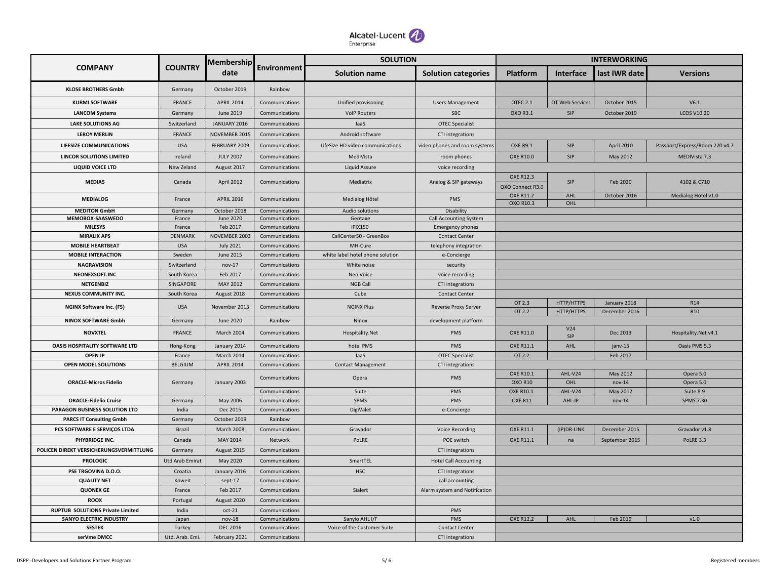

|                                                                           |                        | <b>Membership</b>                |                                  | <b>SOLUTION</b>                  |                                                  |                  |                          | <b>INTERWORKING</b>           |                                |  |
|---------------------------------------------------------------------------|------------------------|----------------------------------|----------------------------------|----------------------------------|--------------------------------------------------|------------------|--------------------------|-------------------------------|--------------------------------|--|
| <b>COMPANY</b>                                                            | <b>COUNTRY</b>         | date                             | Environment                      | <b>Solution name</b>             | <b>Solution categories</b>                       | <b>Platform</b>  | <b>Interface</b>         | last IWR date                 | <b>Versions</b>                |  |
| <b>KLOSE BROTHERS Gmbh</b>                                                | Germany                | October 2019                     | Rainbow                          |                                  |                                                  |                  |                          |                               |                                |  |
| <b>KURMI SOFTWARE</b>                                                     | <b>FRANCE</b>          | <b>APRIL 2014</b>                | Communications                   | Unified provisoning              | <b>Users Management</b>                          | <b>OTEC 2.1</b>  | OT Web Services          | October 2015                  | V6.1                           |  |
| <b>LANCOM Systems</b>                                                     | Germany                | June 2019                        | Communications                   | <b>VoIP Routers</b>              | SBC                                              | OXO R3.1         | SIP                      | October 2019                  | <b>LCOS V10.20</b>             |  |
| <b>LAKE SOLUTIONS AG</b>                                                  | Switzerland            | JANUARY 2016                     | Communications                   | laaS                             | <b>OTEC Specialist</b>                           |                  |                          |                               |                                |  |
| <b>LEROY MERLIN</b>                                                       | <b>FRANCE</b>          | NOVEMBER 2015                    | Communications                   | Android software                 | CTI integrations                                 |                  |                          |                               |                                |  |
| <b>LIFESIZE COMMUNICATIONS</b>                                            | <b>USA</b>             | FEBRUARY 2009                    | Communications                   | LifeSize HD video communications | video phones and room systems                    | <b>OXE R9.1</b>  | SIP                      | <b>April 2010</b>             | Passport/Express/Room 220 v4.7 |  |
| <b>LINCOR SOLUTIONS LIMITED</b>                                           | Ireland                | <b>JULY 2007</b>                 | Communications                   | MediVista                        | room phones                                      | <b>OXE R10.0</b> | SIP                      | May 2012                      | MEDIVista 7.3                  |  |
| LIQUID VOICE LTD                                                          | New Zeland             | August 2017                      | Communications                   | Liquid Assure                    | voice recording                                  |                  |                          |                               |                                |  |
|                                                                           |                        |                                  |                                  |                                  |                                                  | <b>OXE R12.3</b> |                          |                               |                                |  |
| MEDIA5                                                                    | Canada                 | April 2012                       | Communications                   | Mediatrix                        | Analog & SIP gateways                            | OXO Connect R3.0 | SIP                      | Feb 2020                      | 4102 & C710                    |  |
| <b>MEDIALOG</b>                                                           | France                 | <b>APRIL 2016</b>                | Communications                   | Medialog Hôtel                   | PMS                                              | <b>OXE R11.2</b> | AHL                      | October 2016                  | Medialog Hotel v1.0            |  |
|                                                                           |                        |                                  |                                  |                                  |                                                  | OXO R10.3        | OHL                      |                               |                                |  |
| <b>MEDITON GmbH</b><br>MEMOBOX-SAASWEDO                                   | Germany<br>France      | October 2018<br><b>June 2020</b> | Communications<br>Communications | Audio solutions<br>Geotaxe       | Disability<br><b>Call Accounting System</b>      |                  |                          |                               |                                |  |
| <b>MILESYS</b>                                                            | France                 | Feb 2017                         | Communications                   | <b>iPIX150</b>                   | <b>Emergency phones</b>                          |                  |                          |                               |                                |  |
| <b>MIRALIX APS</b>                                                        | DENMARK                | NOVEMBER 2003                    | Communications                   | CallCenter50 - GreenBox          | <b>Contact Center</b>                            |                  |                          |                               |                                |  |
| <b>MOBILE HEARTBEAT</b>                                                   | <b>USA</b>             | <b>July 2021</b>                 | Communications                   | MH-Cure                          | telephony integration                            |                  |                          |                               |                                |  |
| <b>MOBILE INTERACTION</b>                                                 | Sweden                 | June 2015                        | Communications                   | white label hotel phone solution | e-Concierge                                      |                  |                          |                               |                                |  |
| <b>NAGRAVISION</b>                                                        | Switzerland            | $nov-17$                         | Communications                   | White noise                      | security                                         |                  |                          |                               |                                |  |
| NEONEXSOFT.INC                                                            | South Korea            | Feb 2017                         | Communications                   | Neo Voice                        | voice recording                                  |                  |                          |                               |                                |  |
| <b>NETGENBIZ</b>                                                          | <b>SINGAPORE</b>       | MAY 2012                         | Communications                   | <b>NGB Call</b>                  | CTI integrations                                 |                  |                          |                               |                                |  |
| NEXUS COMMUNITY INC.                                                      | South Korea            | August 2018                      | Communications                   | Cube                             | <b>Contact Center</b>                            |                  |                          |                               |                                |  |
| <b>NGINX Software Inc. (F5)</b>                                           | <b>USA</b>             | November 2013                    | Communications                   | <b>NGINX Plus</b>                | <b>Reverse Proxy Server</b>                      | OT 2.3<br>OT 2.2 | HTTP/HTTPS<br>HTTP/HTTPS | January 2018<br>December 2016 | R14<br>R <sub>10</sub>         |  |
| NINOX SOFTWARE Gmbh                                                       | Germany                | <b>June 2020</b>                 | Rainbow                          | Ninox                            | development platform                             |                  |                          |                               |                                |  |
| <b>NOVXTEL</b>                                                            | FRANCE                 | March 2004                       | Communications                   | Hospitality.Net                  | PMS                                              | <b>OXE R11.0</b> | V24<br>SIP               | Dec 2013                      | Hospitality.Net v4.1           |  |
| OASIS HOSPITALITY SOFTWARE LTD                                            | Hong-Kong              | January 2014                     | Communications                   | hotel PMS                        | <b>PMS</b>                                       | OXE R11.1        | AHL                      | janv-15                       | Oasis PMS 5.3                  |  |
| <b>OPEN IP</b>                                                            | France                 | March 2014                       | Communications                   | laaS                             | <b>OTEC Specialist</b>                           | OT 2.2           |                          | Feb 2017                      |                                |  |
| <b>OPEN MODEL SOLUTIONS</b>                                               | <b>BELGIUM</b>         | <b>APRIL 2014</b>                | Communications                   | <b>Contact Management</b>        | CTI integrations                                 |                  |                          |                               |                                |  |
|                                                                           |                        |                                  | Communications                   | Opera                            | <b>PMS</b>                                       | <b>OXE R10.1</b> | AHL-V24                  | May 2012                      | Opera 5.0                      |  |
| <b>ORACLE-Micros Fidelio</b>                                              | Germany                | January 2003                     |                                  |                                  |                                                  | <b>OXO R10</b>   | OHL                      | $nov-14$                      | Opera 5.0                      |  |
|                                                                           |                        |                                  | Communications                   | Suite                            | PMS                                              | <b>OXE R10.1</b> | AHL-V24                  | May 2012                      | Suite 8.9                      |  |
| <b>ORACLE-Fidelio Cruise</b><br><b>PARAGON BUSINESS SOLUTION LTD</b>      | Germany<br>India       | May 2006<br>Dec 2015             | Communications<br>Communications | SPMS<br>DigiValet                | PMS<br>e-Concierge                               | OXE R11          | AHL-IP                   | $nov-14$                      | <b>SPMS 7.30</b>               |  |
| <b>PARCS IT Consulting Gmbh</b>                                           | Germany                | October 2019                     | Rainbow                          |                                  |                                                  |                  |                          |                               |                                |  |
| PCS SOFTWARE E SERVIÇOS LTDA                                              | <b>Brazil</b>          | March 2008                       | Communications                   | Gravador                         | <b>Voice Recording</b>                           | OXE R11.1        | (IP) DR-LINK             | December 2015                 | Gravador v1.8                  |  |
| PHYBRIDGE INC.                                                            | Canada                 | MAY 2014                         | Network                          | PoLRE                            | POE switch                                       | <b>OXE R11.1</b> | na                       | September 2015                | PoLRE 3.3                      |  |
| POLICEN DIREKT VERSICHERUNGSVERMITTLUNG                                   | Germany                | August 2015                      | Communications                   |                                  | CTI integrations                                 |                  |                          |                               |                                |  |
| <b>PROLOGIC</b>                                                           | <b>Utd Arab Emirat</b> | May 2020                         | Communications                   | SmartTEL                         | <b>Hotel Call Accounting</b>                     |                  |                          |                               |                                |  |
|                                                                           |                        |                                  |                                  |                                  |                                                  |                  |                          |                               |                                |  |
| PSE TRGOVINA D.O.O.<br><b>QUALITY NET</b>                                 | Croatia                | January 2016<br>sept-17          | Communications                   | <b>HSC</b>                       | CTI integrations                                 |                  |                          |                               |                                |  |
| <b>QUONEX GE</b>                                                          | Koweit<br>France       | Feb 2017                         | Communications<br>Communications | Sialert                          | call accounting<br>Alarm system and Notification |                  |                          |                               |                                |  |
| <b>ROOX</b>                                                               |                        |                                  | Communications                   |                                  |                                                  |                  |                          |                               |                                |  |
|                                                                           | Portugal               | August 2020                      |                                  |                                  |                                                  |                  |                          |                               |                                |  |
| <b>RUPTUB SOLUTIONS Private Limited</b><br><b>SANYO ELECTRIC INDUSTRY</b> | India<br>Japan         | oct-21<br>$nov-18$               | Communications<br>Communications | Sanyio AHL I/F                   | PMS<br>PMS                                       | <b>OXE R12.2</b> | AHL                      | Feb 2019                      | v1.0                           |  |
| <b>SESTEK</b>                                                             | Turkey                 | <b>DEC 2016</b>                  | Communications                   | Voice of the Customer Suite      | <b>Contact Center</b>                            |                  |                          |                               |                                |  |
| serVme DMCC                                                               | Utd. Arab. Emi.        | February 2021                    | Communications                   |                                  | CTI integrations                                 |                  |                          |                               |                                |  |
|                                                                           |                        |                                  |                                  |                                  |                                                  |                  |                          |                               |                                |  |